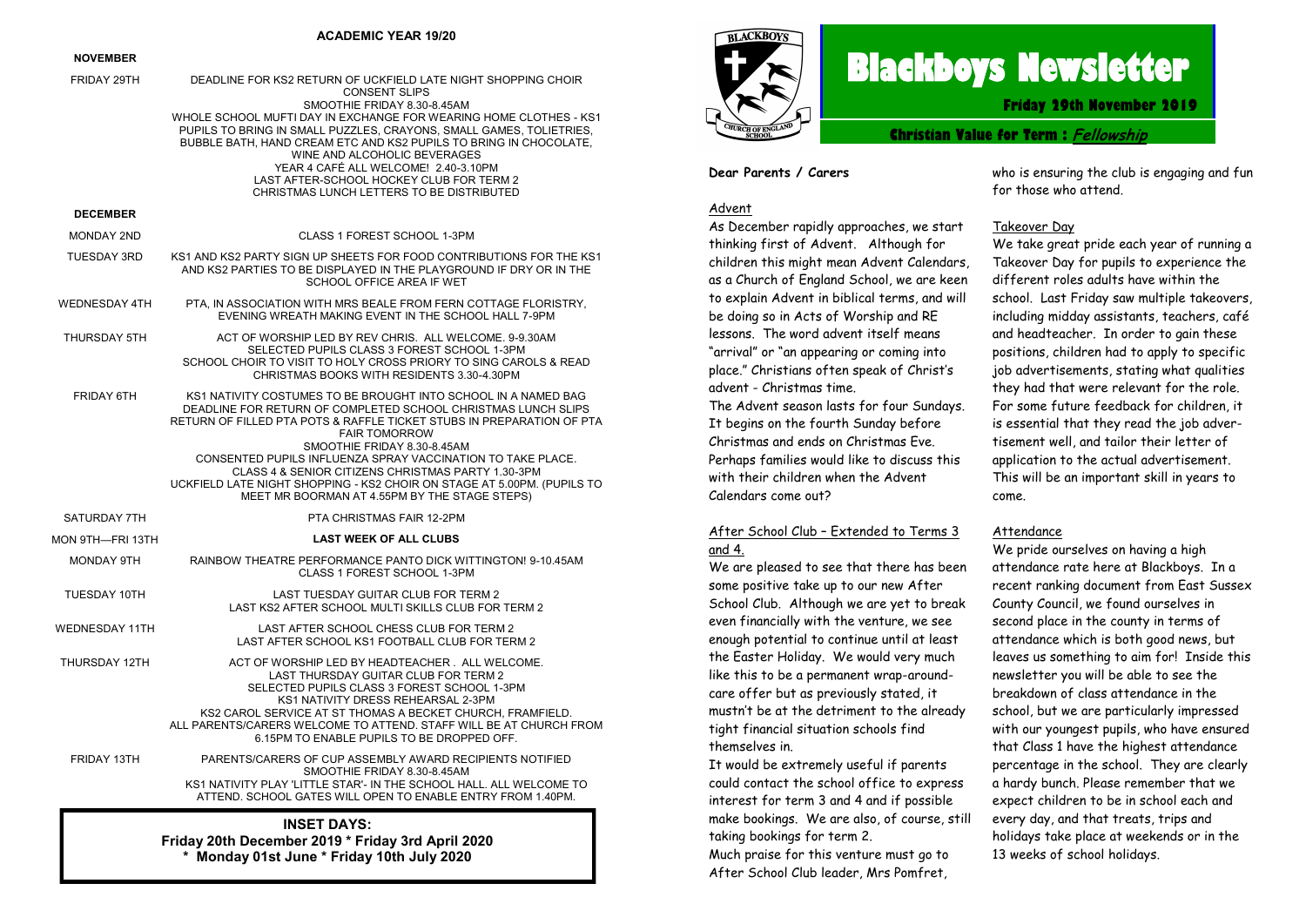#### **ACADEMIC YEAR 19/20**

#### **NOVEMBER**

| FRIDAY 29TH                                                                                                           | DEADLINE FOR KS2 RETURN OF UCKFIELD LATE NIGHT SHOPPING CHOIR<br><b>CONSENT SLIPS</b><br>SMOOTHIE FRIDAY 8.30-8.45AM                                                                                                                                                                                                                                                           |  |
|-----------------------------------------------------------------------------------------------------------------------|--------------------------------------------------------------------------------------------------------------------------------------------------------------------------------------------------------------------------------------------------------------------------------------------------------------------------------------------------------------------------------|--|
|                                                                                                                       | WHOLE SCHOOL MUFTI DAY IN EXCHANGE FOR WEARING HOME CLOTHES - KS1<br>PUPILS TO BRING IN SMALL PUZZLES, CRAYONS, SMALL GAMES, TOLIETRIES,<br>BUBBLE BATH, HAND CREAM ETC AND KS2 PUPILS TO BRING IN CHOCOLATE,<br>WINE AND ALCOHOLIC BEVERAGES<br>YEAR 4 CAFÉ ALL WELCOME! 2.40-3.10PM<br>LAST AFTER-SCHOOL HOCKEY CLUB FOR TERM 2<br>CHRISTMAS LUNCH LETTERS TO BE DISTRIBUTED |  |
| <b>DECEMBER</b>                                                                                                       |                                                                                                                                                                                                                                                                                                                                                                                |  |
| <b>MONDAY 2ND</b>                                                                                                     | CLASS 1 FOREST SCHOOL 1-3PM                                                                                                                                                                                                                                                                                                                                                    |  |
| <b>TUESDAY 3RD</b>                                                                                                    | KS1 AND KS2 PARTY SIGN UP SHEETS FOR FOOD CONTRIBUTIONS FOR THE KS1<br>AND KS2 PARTIES TO BE DISPLAYED IN THE PLAYGROUND IF DRY OR IN THE<br>SCHOOL OFFICE AREA IF WET                                                                                                                                                                                                         |  |
| <b>WEDNESDAY 4TH</b>                                                                                                  | PTA, IN ASSOCIATION WITH MRS BEALE FROM FERN COTTAGE FLORISTRY,<br>EVENING WREATH MAKING EVENT IN THE SCHOOL HALL 7-9PM                                                                                                                                                                                                                                                        |  |
| THURSDAY 5TH                                                                                                          | ACT OF WORSHIP LED BY REV CHRIS. ALL WELCOME, 9-9.30AM<br>SELECTED PUPILS CLASS 3 FOREST SCHOOL 1-3PM<br>SCHOOL CHOIR TO VISIT TO HOLY CROSS PRIORY TO SING CAROLS & READ<br>CHRISTMAS BOOKS WITH RESIDENTS 3.30-4.30PM                                                                                                                                                        |  |
| FRIDAY 6TH                                                                                                            | KS1 NATIVITY COSTUMES TO BE BROUGHT INTO SCHOOL IN A NAMED BAG<br>DEADLINE FOR RETURN OF COMPLETED SCHOOL CHRISTMAS LUNCH SLIPS<br>RETURN OF FILLED PTA POTS & RAFFLE TICKET STUBS IN PREPARATION OF PTA<br><b>FAIR TOMORROW</b>                                                                                                                                               |  |
|                                                                                                                       | SMOOTHIE FRIDAY 8.30-8.45AM<br>CONSENTED PUPILS INFLUENZA SPRAY VACCINATION TO TAKE PLACE.<br>CLASS 4 & SENIOR CITIZENS CHRISTMAS PARTY 1.30-3PM<br>UCKFIELD LATE NIGHT SHOPPING - KS2 CHOIR ON STAGE AT 5.00PM. (PUPILS TO<br>MEET MR BOORMAN AT 4.55PM BY THE STAGE STEPS)                                                                                                   |  |
| SATURDAY 7TH                                                                                                          | PTA CHRISTMAS FAIR 12-2PM                                                                                                                                                                                                                                                                                                                                                      |  |
| MON 9TH—FRI 13TH                                                                                                      | <b>LAST WEEK OF ALL CLUBS</b>                                                                                                                                                                                                                                                                                                                                                  |  |
| MONDAY 9TH                                                                                                            | RAINBOW THEATRE PERFORMANCE PANTO DICK WITTINGTON! 9-10.45AM<br>CLASS 1 FOREST SCHOOL 1-3PM                                                                                                                                                                                                                                                                                    |  |
| TUESDAY 10TH                                                                                                          | LAST TUESDAY GUITAR CLUB FOR TERM 2<br>LAST KS2 AFTER SCHOOL MULTI SKILLS CLUB FOR TERM 2                                                                                                                                                                                                                                                                                      |  |
| <b>WEDNESDAY 11TH</b>                                                                                                 | LAST AFTER SCHOOL CHESS CLUB FOR TERM 2<br>LAST AFTER SCHOOL KS1 FOOTBALL CLUB FOR TERM 2                                                                                                                                                                                                                                                                                      |  |
| THURSDAY 12TH                                                                                                         | ACT OF WORSHIP LED BY HEADTEACHER. ALL WELCOME.<br>LAST THURSDAY GUITAR CLUB FOR TERM 2<br>SELECTED PUPILS CLASS 3 FOREST SCHOOL 1-3PM<br>KS1 NATIVITY DRESS REHEARSAL 2-3PM<br>KS2 CAROL SERVICE AT ST THOMAS A BECKET CHURCH. FRAMFIELD.<br>ALL PARENTS/CARERS WELCOME TO ATTEND. STAFF WILL BE AT CHURCH FROM<br>6.15PM TO ENABLE PUPILS TO BE DROPPED OFF.                 |  |
| FRIDAY 13TH                                                                                                           | PARENTS/CARERS OF CUP ASSEMBLY AWARD RECIPIENTS NOTIFIED<br>SMOOTHIE FRIDAY 8.30-8.45AM<br>KS1 NATIVITY PLAY 'LITTLE STAR'- IN THE SCHOOL HALL. ALL WELCOME TO<br>ATTEND. SCHOOL GATES WILL OPEN TO ENABLE ENTRY FROM 1.40PM.                                                                                                                                                  |  |
| <b>INSET DAYS:</b><br>Friday 20th December 2019 * Friday 3rd April 2020<br>* Monday 01st June * Friday 10th July 2020 |                                                                                                                                                                                                                                                                                                                                                                                |  |



# **Blackboys Newsletter**

**Friday 29th November 2019**

**Christian Value for Term : Fellowship**

#### **Dear Parents / Carers**

#### Advent

As December rapidly approaches, we start thinking first of Advent. Although for children this might mean Advent Calendars, as a Church of England School, we are keen to explain Advent in biblical terms, and will be doing so in Acts of Worship and RE lessons. The word advent itself means "arrival" or "an appearing or coming into place." Christians often speak of Christ's advent - Christmas time.

The Advent season lasts for four Sundays. It begins on the fourth Sunday before Christmas and ends on Christmas Eve. Perhaps families would like to discuss this with their children when the Advent Calendars come out?

#### After School Club – Extended to Terms 3 and 4.

We are pleased to see that there has been some positive take up to our new After School Club. Although we are yet to break even financially with the venture, we see enough potential to continue until at least the Easter Holiday. We would very much like this to be a permanent wrap-aroundcare offer but as previously stated, it mustn't be at the detriment to the already tight financial situation schools find themselves in.

It would be extremely useful if parents could contact the school office to express interest for term 3 and 4 and if possible make bookings. We are also, of course, still taking bookings for term 2.

Much praise for this venture must go to After School Club leader, Mrs Pomfret,

who is ensuring the club is engaging and fun for those who attend.

#### Takeover Day

We take great pride each year of running a Takeover Day for pupils to experience the different roles adults have within the school. Last Friday saw multiple takeovers, including midday assistants, teachers, café and headteacher. In order to gain these positions, children had to apply to specific job advertisements, stating what qualities they had that were relevant for the role. For some future feedback for children, it is essential that they read the job advertisement well, and tailor their letter of application to the actual advertisement. This will be an important skill in years to come.

#### Attendance

We pride ourselves on having a high attendance rate here at Blackboys. In a recent ranking document from East Sussex County Council, we found ourselves in second place in the county in terms of attendance which is both good news, but leaves us something to aim for! Inside this newsletter you will be able to see the breakdown of class attendance in the school, but we are particularly impressed with our youngest pupils, who have ensured that Class 1 have the highest attendance percentage in the school. They are clearly a hardy bunch. Please remember that we expect children to be in school each and every day, and that treats, trips and holidays take place at weekends or in the 13 weeks of school holidays.